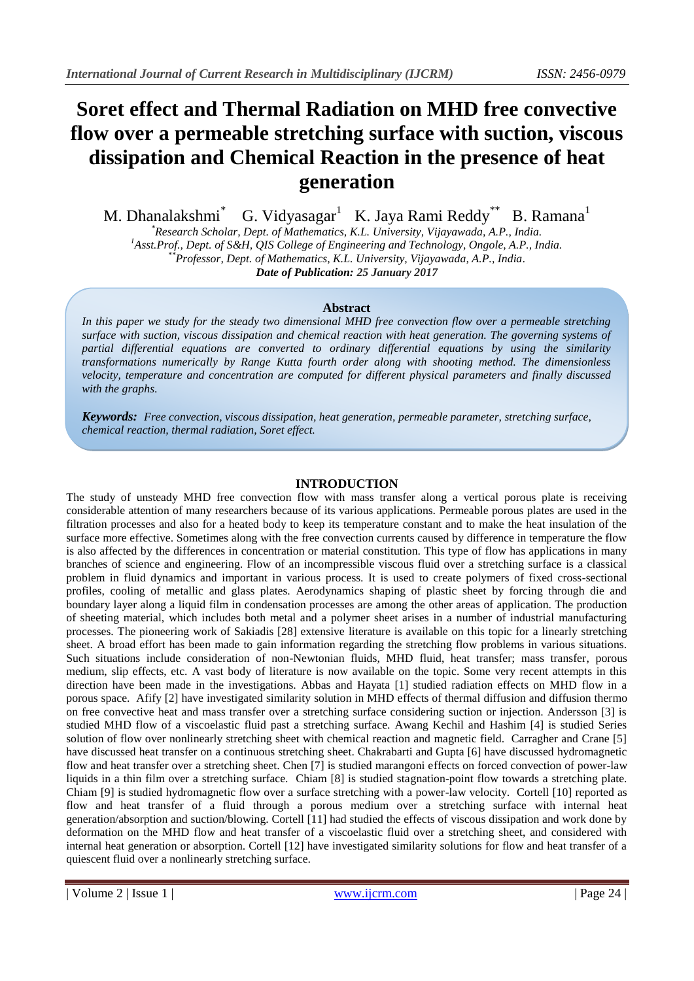# **Soret effect and Thermal Radiation on MHD free convective flow over a permeable stretching surface with suction, viscous dissipation and Chemical Reaction in the presence of heat generation**

M. Dhanalakshmi<sup>\*</sup> G. Vidyasagar<sup>1</sup> K. Jaya Rami Reddy<sup>\*\*</sup> B. Ramana<sup>1</sup>

*\*Research Scholar, Dept. of Mathematics, K.L. University, Vijayawada, A.P., India. <sup>1</sup>Asst.Prof., Dept. of S&H, QIS College of Engineering and Technology, Ongole, A.P., India. \*\*Professor, Dept. of Mathematics, K.L. University, Vijayawada, A.P., India. Date of Publication: 25 January 2017*

## **Abstract**

*In this paper we study for the steady two dimensional MHD free convection flow over a permeable stretching surface with suction, viscous dissipation and chemical reaction with heat generation. The governing systems of partial differential equations are converted to ordinary differential equations by using the similarity transformations numerically by Range Kutta fourth order along with shooting method. The dimensionless velocity, temperature and concentration are computed for different physical parameters and finally discussed with the graphs*.

*Keywords: Free convection, viscous dissipation, heat generation, permeable parameter, stretching surface, chemical reaction, thermal radiation, Soret effect.*

# **INTRODUCTION**

The study of unsteady MHD free convection flow with mass transfer along a vertical porous plate is receiving considerable attention of many researchers because of its various applications. Permeable porous plates are used in the filtration processes and also for a heated body to keep its temperature constant and to make the heat insulation of the surface more effective. Sometimes along with the free convection currents caused by difference in temperature the flow is also affected by the differences in concentration or material constitution. This type of flow has applications in many branches of science and engineering. Flow of an incompressible viscous fluid over a stretching surface is a classical problem in fluid dynamics and important in various process. It is used to create polymers of fixed cross-sectional profiles, cooling of metallic and glass plates. Aerodynamics shaping of plastic sheet by forcing through die and boundary layer along a liquid film in condensation processes are among the other areas of application. The production of sheeting material, which includes both metal and a polymer sheet arises in a number of industrial manufacturing processes. The pioneering work of Sakiadis [28] extensive literature is available on this topic for a linearly stretching sheet. A broad effort has been made to gain information regarding the stretching flow problems in various situations. Such situations include consideration of non-Newtonian fluids, MHD fluid, heat transfer; mass transfer, porous medium, slip effects, etc. A vast body of literature is now available on the topic. Some very recent attempts in this direction have been made in the investigations. Abbas and Hayata [1] studied radiation effects on MHD flow in a porous space. Afify [2] have investigated similarity solution in MHD effects of thermal diffusion and diffusion thermo on free convective heat and mass transfer over a stretching surface considering suction or injection. Andersson [3] is studied MHD flow of a viscoelastic fluid past a stretching surface. Awang Kechil and Hashim [4] is studied Series solution of flow over nonlinearly stretching sheet with chemical reaction and magnetic field. Carragher and Crane [5] have discussed heat transfer on a continuous stretching sheet. Chakrabarti and Gupta [6] have discussed hydromagnetic flow and heat transfer over a stretching sheet. Chen [7] is studied marangoni effects on forced convection of power-law liquids in a thin film over a stretching surface. Chiam [8] is studied stagnation-point flow towards a stretching plate. Chiam [9] is studied hydromagnetic flow over a surface stretching with a power-law velocity. Cortell [10] reported as flow and heat transfer of a fluid through a porous medium over a stretching surface with internal heat generation/absorption and suction/blowing. Cortell [11] had studied the effects of viscous dissipation and work done by deformation on the MHD flow and heat transfer of a viscoelastic fluid over a stretching sheet, and considered with internal heat generation or absorption. Cortell [12] have investigated similarity solutions for flow and heat transfer of a quiescent fluid over a nonlinearly stretching surface.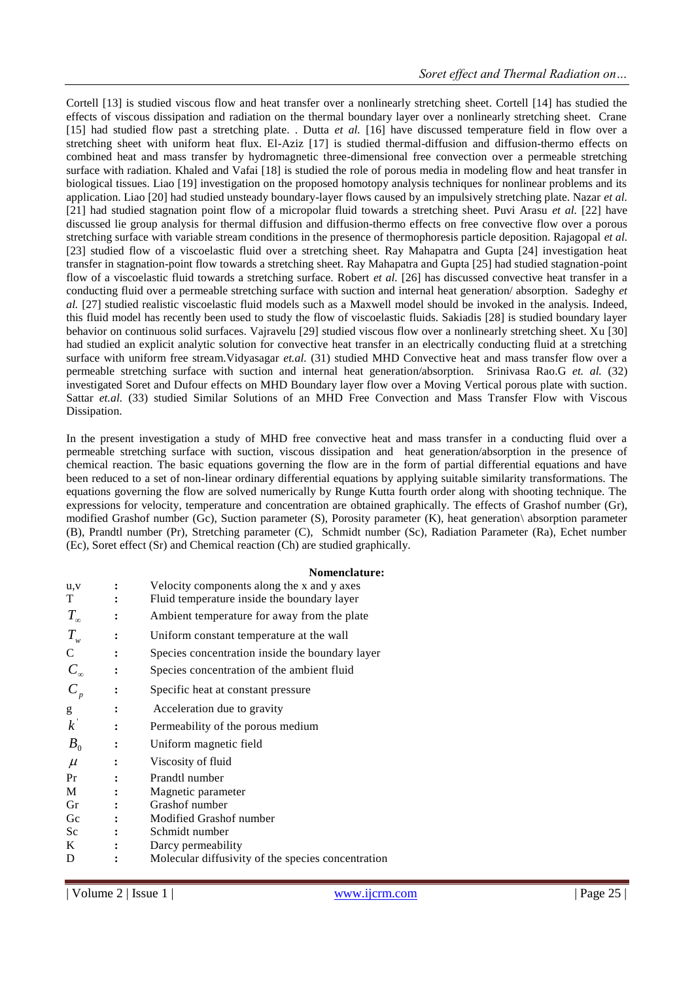Cortell [13] is studied viscous flow and heat transfer over a nonlinearly stretching sheet. Cortell [14] has studied the effects of viscous dissipation and radiation on the thermal boundary layer over a nonlinearly stretching sheet. Crane [15] had studied flow past a stretching plate. . Dutta *et al.* [16] have discussed temperature field in flow over a stretching sheet with uniform heat flux. El-Aziz [17] is studied thermal-diffusion and diffusion-thermo effects on combined heat and mass transfer by hydromagnetic three-dimensional free convection over a permeable stretching surface with radiation. Khaled and Vafai [18] is studied the role of porous media in modeling flow and heat transfer in biological tissues. Liao [19] investigation on the proposed homotopy analysis techniques for nonlinear problems and its application. Liao [20] had studied unsteady boundary-layer flows caused by an impulsively stretching plate. Nazar *et al.* [21] had studied stagnation point flow of a micropolar fluid towards a stretching sheet. Puvi Arasu *et al.* [22] have discussed lie group analysis for thermal diffusion and diffusion-thermo effects on free convective flow over a porous stretching surface with variable stream conditions in the presence of thermophoresis particle deposition. Rajagopal *et al.* [23] studied flow of a viscoelastic fluid over a stretching sheet. Ray Mahapatra and Gupta [24] investigation heat transfer in stagnation-point flow towards a stretching sheet. Ray Mahapatra and Gupta [25] had studied stagnation-point flow of a viscoelastic fluid towards a stretching surface. Robert *et al.* [26] has discussed convective heat transfer in a conducting fluid over a permeable stretching surface with suction and internal heat generation/ absorption. Sadeghy *et al.* [27] studied realistic viscoelastic fluid models such as a Maxwell model should be invoked in the analysis. Indeed, this fluid model has recently been used to study the flow of viscoelastic fluids. Sakiadis [28] is studied boundary layer behavior on continuous solid surfaces. Vajravelu [29] studied viscous flow over a nonlinearly stretching sheet. Xu [30] had studied an explicit analytic solution for convective heat transfer in an electrically conducting fluid at a stretching surface with uniform free stream.Vidyasagar *et.al.* (31) studied MHD Convective heat and mass transfer flow over a permeable stretching surface with suction and internal heat generation/absorption. Srinivasa Rao.G *et. al.* (32) investigated Soret and Dufour effects on MHD Boundary layer flow over a Moving Vertical porous plate with suction. Sattar *et.al.* (33) studied Similar Solutions of an MHD Free Convection and Mass Transfer Flow with Viscous Dissipation.

In the present investigation a study of MHD free convective heat and mass transfer in a conducting fluid over a permeable stretching surface with suction, viscous dissipation and heat generation/absorption in the presence of chemical reaction. The basic equations governing the flow are in the form of partial differential equations and have been reduced to a set of non-linear ordinary differential equations by applying suitable similarity transformations. The equations governing the flow are solved numerically by Runge Kutta fourth order along with shooting technique. The expressions for velocity, temperature and concentration are obtained graphically. The effects of Grashof number (Gr), modified Grashof number (Gc), Suction parameter (S), Porosity parameter (K), heat generation\ absorption parameter (B), Prandtl number (Pr), Stretching parameter (C), Schmidt number (Sc), Radiation Parameter (Ra), Echet number (Ec), Soret effect (Sr) and Chemical reaction (Ch) are studied graphically.

#### **Nomenclature:**

| u,v<br>T                    | Velocity components along the x and y axes<br>Fluid temperature inside the boundary layer |
|-----------------------------|-------------------------------------------------------------------------------------------|
| $T_{\infty}$                | Ambient temperature for away from the plate                                               |
| $T_{\scriptscriptstyle{w}}$ | Uniform constant temperature at the wall                                                  |
| C                           | Species concentration inside the boundary layer                                           |
| $C_{\infty}$                | Species concentration of the ambient fluid                                                |
|                             | Specific heat at constant pressure                                                        |
| g                           | Acceleration due to gravity                                                               |
| $\boldsymbol{k}$            | Permeability of the porous medium                                                         |
| $B_0$                       | Uniform magnetic field                                                                    |
| $\mu$                       | Viscosity of fluid                                                                        |
| Pr                          | Prandtl number                                                                            |
| M                           | Magnetic parameter                                                                        |
| Gr                          | Grashof number                                                                            |
| Gc                          | Modified Grashof number                                                                   |
| Sc                          | Schmidt number                                                                            |
| K                           | Darcy permeability                                                                        |
| D                           | Molecular diffusivity of the species concentration                                        |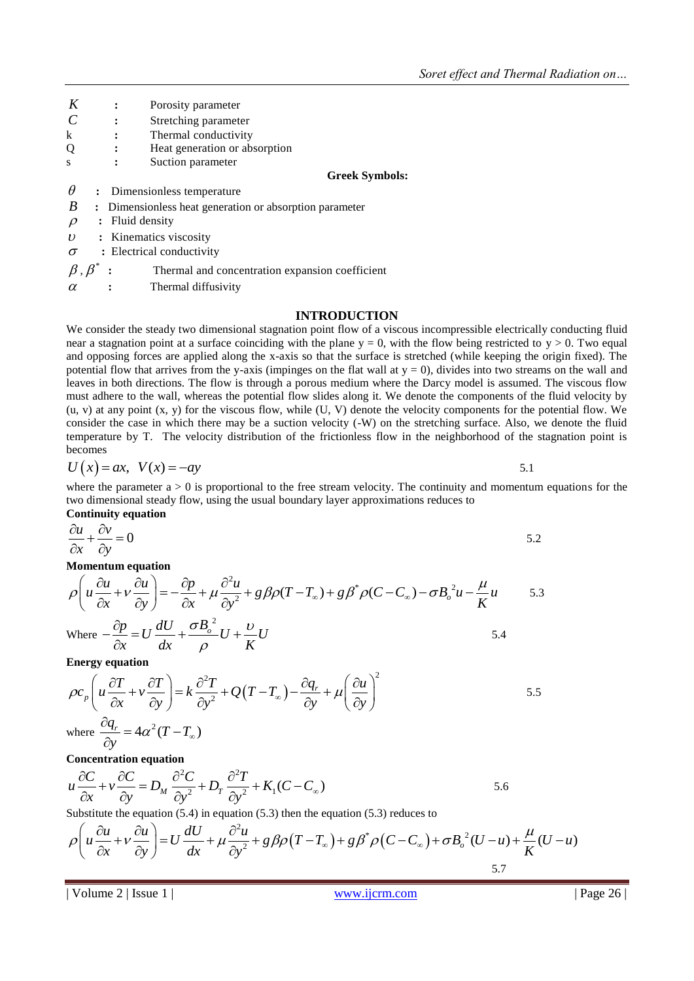| К            | $\ddot{\cdot}$                                          | Porosity parameter                                                                                                                                           |  |
|--------------|---------------------------------------------------------|--------------------------------------------------------------------------------------------------------------------------------------------------------------|--|
| C            | $\ddot{\cdot}$                                          | Stretching parameter                                                                                                                                         |  |
| k            | $\ddot{\cdot}$                                          | Thermal conductivity                                                                                                                                         |  |
| Q            | $\ddot{\cdot}$                                          | Heat generation or absorption                                                                                                                                |  |
| <sup>S</sup> |                                                         | Suction parameter                                                                                                                                            |  |
|              |                                                         | <b>Greek S</b>                                                                                                                                               |  |
| $\theta$     |                                                         | : Dimensionless temperature                                                                                                                                  |  |
| B            | : Dimensionless heat generation or absorption parameter |                                                                                                                                                              |  |
|              |                                                         | $\sim$ $\blacksquare$ $\blacksquare$ $\blacksquare$ $\blacksquare$ $\blacksquare$ $\blacksquare$ $\blacksquare$ $\blacksquare$ $\blacksquare$ $\blacksquare$ |  |

- $\rho$  : Fluid density
- **:** Kinematics viscosity

 $\sigma$  : Electrical conductivity

 $\beta$  ,  $\beta^*$ **:** Thermal and concentration expansion coefficient

 $\alpha$ **:** Thermal diffusivity

#### **INTRODUCTION**

**Greek Symbols:**

We consider the steady two dimensional stagnation point flow of a viscous incompressible electrically conducting fluid near a stagnation point at a surface coinciding with the plane  $y = 0$ , with the flow being restricted to  $y > 0$ . Two equal and opposing forces are applied along the x-axis so that the surface is stretched (while keeping the origin fixed). The potential flow that arrives from the y-axis (impinges on the flat wall at  $y = 0$ ), divides into two streams on the wall and leaves in both directions. The flow is through a porous medium where the Darcy model is assumed. The viscous flow must adhere to the wall, whereas the potential flow slides along it. We denote the components of the fluid velocity by (u, v) at any point (x, y) for the viscous flow, while (U, V) denote the velocity components for the potential flow. We consider the case in which there may be a suction velocity (-W) on the stretching surface. Also, we denote the fluid temperature by T. The velocity distribution of the frictionless flow in the neighborhood of the stagnation point is becomes

$$
U(x) = ax, \quad V(x) = -ay \tag{5.1}
$$

where the parameter  $a > 0$  is proportional to the free stream velocity. The continuity and momentum equations for the two dimensional steady flow, using the usual boundary layer approximations reduces to **Continuity equation**

$$
\frac{\partial u}{\partial x} + \frac{\partial v}{\partial y} = 0
$$

#### **Momentum equation**

$$
\frac{\partial u}{\partial x} + \frac{\partial v}{\partial y} = 0
$$
\n
$$
\text{Momentum equation}
$$
\n
$$
\rho \left( u \frac{\partial u}{\partial x} + v \frac{\partial u}{\partial y} \right) = -\frac{\partial p}{\partial x} + \mu \frac{\partial^2 u}{\partial y^2} + g \beta \rho (T - T_{\infty}) + g \beta^* \rho (C - C_{\infty}) - \sigma B_o^2 u - \frac{\mu}{K} u
$$
\n5.3

where 
$$
-\frac{\partial p}{\partial x} = U \frac{dU}{dx} + \frac{\sigma B_o^2}{\rho} U + \frac{U}{K} U
$$
 5.4

**Energy equation**

Energy equation  
\n
$$
\rho c_p \left( u \frac{\partial T}{\partial x} + v \frac{\partial T}{\partial y} \right) = k \frac{\partial^2 T}{\partial y^2} + Q(T - T_\infty) - \frac{\partial q_r}{\partial y} + \mu \left( \frac{\partial u}{\partial y} \right)^2
$$
\n
$$
\text{where } \frac{\partial q_r}{\partial y} = 4\alpha^2 (T - T_\infty)
$$
\n5.5

**Concentration equation**  
\n
$$
u \frac{\partial C}{\partial x} + v \frac{\partial C}{\partial y} = D_M \frac{\partial^2 C}{\partial y^2} + D_T \frac{\partial^2 T}{\partial y^2} + K_1 (C - C_\infty)
$$
\n5.6

Substitute the equation (5.4) in equation (5.3) then the equation (5.3) reduces to

$$
u \frac{\partial C}{\partial x} + v \frac{\partial C}{\partial y} = D_M \frac{\partial^2 C}{\partial y^2} + D_T \frac{\partial^2 T}{\partial y^2} + K_1(C - C_\infty)
$$
  
\nSubstitute the equation (5.4) in equation (5.3) then the equation (5.3) reduces to  
\n
$$
\rho \left( u \frac{\partial u}{\partial x} + v \frac{\partial u}{\partial y} \right) = U \frac{dU}{dx} + \mu \frac{\partial^2 u}{\partial y^2} + g \beta \rho (T - T_\infty) + g \beta^* \rho (C - C_\infty) + \sigma B_o^2 (U - u) + \frac{\mu}{K} (U - u)
$$
  
\n5.7

| Volume 2 | Issue 1 | www.ijcrm.com | Page 26 |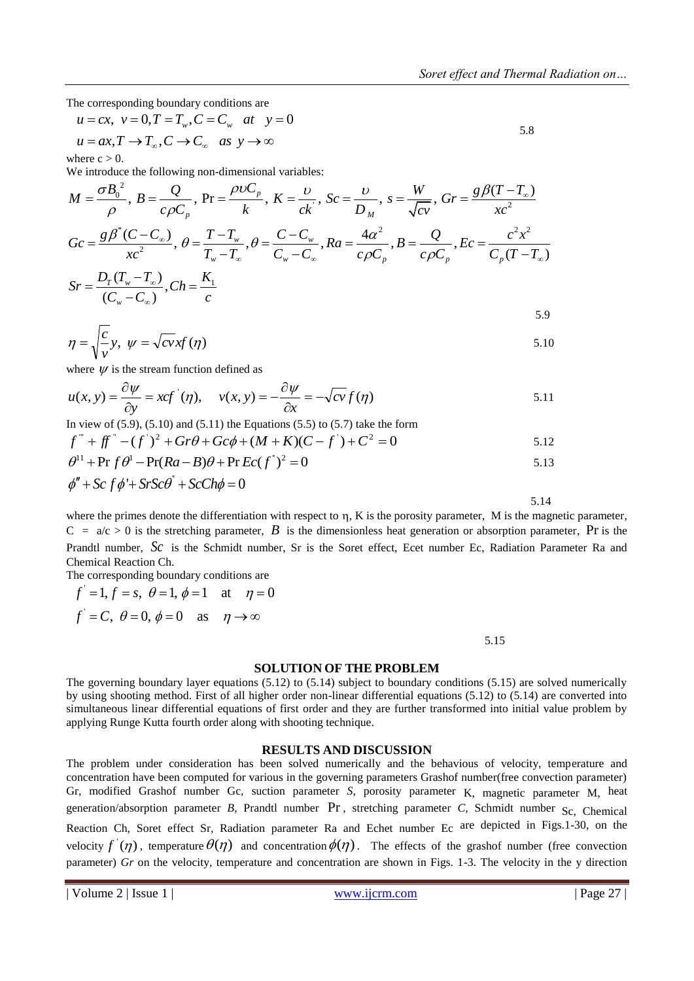The corresponding boundary conditions are

the corresponding boundary conditions are<br>  $u = cx$ ,  $v = 0$ ,  $T = T_w$ ,  $C = C_w$  at  $y = 0$  $u = cx, v = 0, T = T_w, C = C_w$  at  $y = 0$ <br>  $u = ax, T \rightarrow T_{\infty}, C \rightarrow C_{\infty}$  as  $y \rightarrow \infty$  5.8  $ax, T \rightarrow T_{\infty}, C \rightarrow C_{\infty}$  as  $y \rightarrow \infty$ <br>
c > 0.<br>
roduce the following non-dimensional variables:<br>  $\frac{\sigma B_0^2}{2}$ ,  $B = \frac{Q}{2\sigma G}$ ,  $\Pr = \frac{\rho v C_p}{k}$ ,  $K = \frac{v}{\sigma k}$ ,  $Sc = \frac{v}{D}$ ,  $s = \frac{W}{\sqrt{dv}}$ ,  $Gr = \frac{g\beta}{2}$ 

where  $c > 0$ .

We introduce the following non-dimensional variables:

$$
u = ax, T \rightarrow T_{\infty}, C \rightarrow C_{\infty} \text{ as } y \rightarrow \infty
$$
  
\nwhere  $c > 0$ .  
\nWe introduce the following non-dimensional variables:  
\n
$$
M = \frac{\sigma B_0^2}{\rho}, B = \frac{Q}{c\rho C_p}, \Pr = \frac{\rho v C_p}{k}, K = \frac{v}{ck}, Sc = \frac{v}{D_M}, s = \frac{W}{\sqrt{cv}}, Gr = \frac{g\beta(T - T_{\infty})}{xc^2}
$$
  
\n
$$
Gc = \frac{g\beta^*(C - C_{\infty})}{xc^2}, \theta = \frac{T - T_w}{T_w - T_{\infty}}, \theta = \frac{C - C_w}{C_w - C_{\infty}}, Ra = \frac{4\alpha^2}{c\rho C_p}, B = \frac{Q}{c\rho C_p}, Ec = \frac{c^2x^2}{C_p(T - T_{\infty})}
$$
  
\n
$$
Sr = \frac{D_T(T_w - T_{\infty})}{(C_w - C_{\infty})}, Ch = \frac{K_1}{c}
$$

$$
\eta = \sqrt{\frac{c}{v}} y, \ \psi = \sqrt{cv} x f(\eta) \tag{5.10}
$$

where  $\psi$  is the stream function defined as

$$
u(x, y) = \frac{\partial \psi}{\partial y} = xcf'(\eta), \quad v(x, y) = -\frac{\partial \psi}{\partial x} = -\sqrt{c}vf(\eta)
$$

In view of  $(5.9)$ ,  $(5.10)$  and  $(5.11)$  the Equations  $(5.5)$  to  $(5.7)$  take the form

$$
f''' + ff'' - (f')^{2} + Gr\theta + Gc\phi + (M + K)(C - f') + C^{2} = 0
$$
  
\n
$$
\theta^{11} + \Pr f \theta^{1} - \Pr(Ra - B)\theta + \Pr Ec(f')^{2} = 0
$$
  
\n5.13

$$
\theta^{11} + \Pr f \theta^1 - \Pr (Ra - B)\theta + \Pr Ec(f')^2 = 0
$$

$$
\phi'' + Sc f \phi' + SrSc\theta' + ScCh\phi = 0
$$
  
5.14

where the primes denote the differentiation with respect to  $\eta$ , K is the porosity parameter, M is the magnetic parameter,  $C = a/c > 0$  is the stretching parameter, B is the dimensionless heat generation or absorption parameter, Pr is the Prandtl number, Sc is the Schmidt number, Sr is the Soret effect, Ecet number Ec, Radiation Parameter Ra and Chemical Reaction Ch.

The corresponding boundary conditions are  
\n
$$
f' = 1, f = s, \theta = 1, \phi = 1
$$
 at  $\eta = 0$   
\n $f' = C, \theta = 0, \phi = 0$  as  $\eta \to \infty$ 

5.15

#### **SOLUTION OF THE PROBLEM**

The governing boundary layer equations (5.12) to (5.14) subject to boundary conditions (5.15) are solved numerically by using shooting method. First of all higher order non-linear differential equations (5.12) to (5.14) are converted into simultaneous linear differential equations of first order and they are further transformed into initial value problem by applying Runge Kutta fourth order along with shooting technique.

#### **RESULTS AND DISCUSSION**

The problem under consideration has been solved numerically and the behavious of velocity, temperature and concentration have been computed for various in the governing parameters Grashof number(free convection parameter) Gr, modified Grashof number Gc, suction parameter *S*, porosity parameter K, magnetic parameter M, heat generation/absorption parameter *B,* Prandtl number Pr , stretching parameter *C,* Schmidt number Sc, Chemical Reaction Ch, Soret effect Sr, Radiation parameter Ra and Echet number Ec are depicted in Figs.1-30, on the velocity  $f'(\eta)$ , temperature  $\theta(\eta)$  and concentration  $\phi(\eta)$ . The effects of the grashof number (free convection parameter) *Gr* on the velocity, temperature and concentration are shown in Figs. 1-3. The velocity in the y direction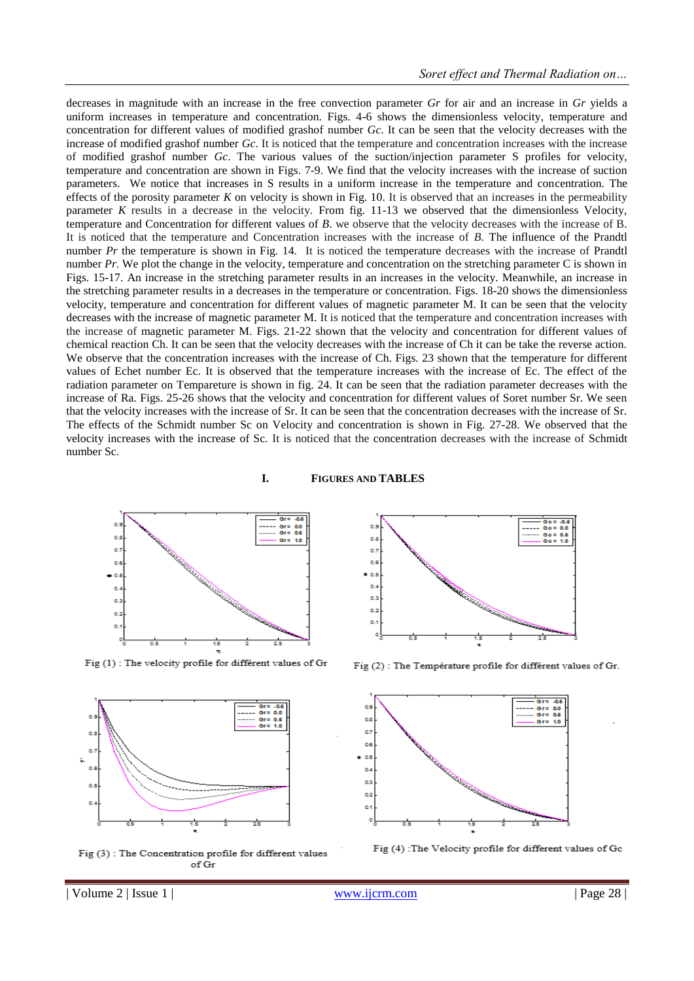decreases in magnitude with an increase in the free convection parameter *Gr* for air and an increase in *Gr* yields a uniform increases in temperature and concentration. Figs. 4-6 shows the dimensionless velocity, temperature and concentration for different values of modified grashof number *Gc*. It can be seen that the velocity decreases with the increase of modified grashof number *Gc*. It is noticed that the temperature and concentration increases with the increase of modified grashof number *Gc*. The various values of the suction/injection parameter S profiles for velocity, temperature and concentration are shown in Figs. 7-9. We find that the velocity increases with the increase of suction parameters. We notice that increases in S results in a uniform increase in the temperature and concentration. The effects of the porosity parameter  $K$  on velocity is shown in Fig. 10. It is observed that an increases in the permeability parameter *K* results in a decrease in the velocity. From fig. 11-13 we observed that the dimensionless Velocity, temperature and Concentration for different values of *B*. we observe that the velocity decreases with the increase of B. It is noticed that the temperature and Concentration increases with the increase of *B*. The influence of the Prandtl number *Pr* the temperature is shown in Fig. 14. It is noticed the temperature decreases with the increase of Prandtl number *Pr*. We plot the change in the velocity, temperature and concentration on the stretching parameter C is shown in Figs. 15-17. An increase in the stretching parameter results in an increases in the velocity. Meanwhile, an increase in the stretching parameter results in a decreases in the temperature or concentration. Figs. 18-20 shows the dimensionless velocity, temperature and concentration for different values of magnetic parameter M. It can be seen that the velocity decreases with the increase of magnetic parameter M. It is noticed that the temperature and concentration increases with the increase of magnetic parameter M. Figs. 21-22 shown that the velocity and concentration for different values of chemical reaction Ch. It can be seen that the velocity decreases with the increase of Ch it can be take the reverse action. We observe that the concentration increases with the increase of Ch. Figs. 23 shown that the temperature for different values of Echet number Ec. It is observed that the temperature increases with the increase of Ec. The effect of the radiation parameter on Tempareture is shown in fig. 24. It can be seen that the radiation parameter decreases with the increase of Ra. Figs. 25-26 shows that the velocity and concentration for different values of Soret number Sr. We seen that the velocity increases with the increase of Sr. It can be seen that the concentration decreases with the increase of Sr. The effects of the Schmidt number Sc on Velocity and concentration is shown in Fig. 27-28. We observed that the velocity increases with the increase of Sc. It is noticed that the concentration decreases with the increase of Schmidt number Sc.





Fig (1) : The velocity profile for différent values of Gr



Fig (3): The Concentration profile for different values of Gr



Fig (2) : The Température profile for différent values of Gr.





| Volume 2 | Issue 1 | www.ijcrm.com | Page 28 |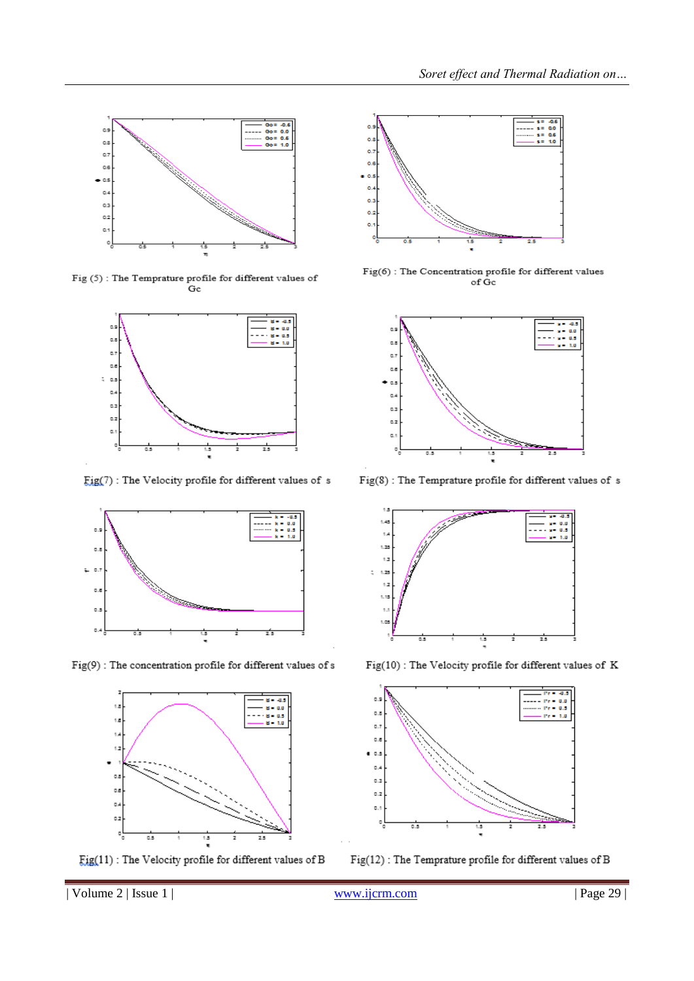

 $\ensuremath{\mathsf{Fig}}\xspace\left(5\right)$  : The Temprature profile for different values of  $Gc$ 



 $Fig(7)$ : The Velocity profile for different values of  $s$ 



 $\operatorname{Fig(9)}$  : The concentration profile for different values of  ${\rm s}$ 



 $Eig(11)$ : The Velocity profile for different values of B



 $\operatorname{Fig}(6)$  : The Concentration profile for different values of Gc



 $\operatorname{Fig(8)}$  : The Temprature profile for different values of  $% \mathcal{M}$  s



 ${\rm Fig(10)}$  : The Velocity profile for different values of  $\,\rm K$ 



 $\operatorname{Fig(12)}$  : The Temprature profile for different values of B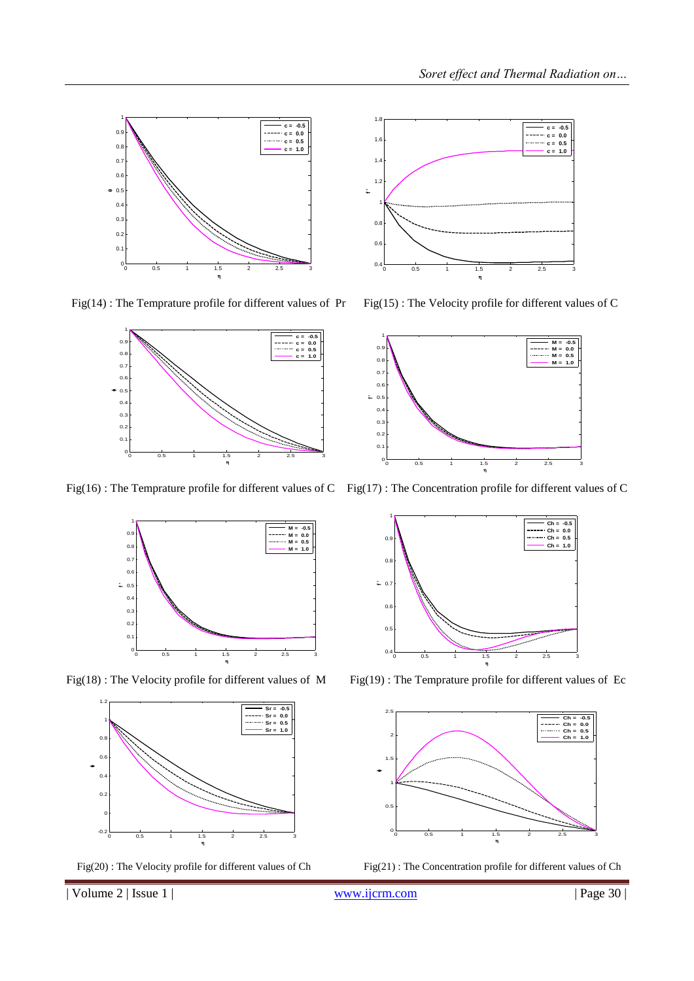

Fig(14) : The Temprature profile for different values of Pr Fig(15) : The Velocity profile for different values of C



Fig(16) : The Temprature profile for different values of C Fig(17) : The Concentration profile for different values of C











Fig(18) : The Velocity profile for different values of M Fig(19) : The Temprature profile for different values of Ec



Fig(20) : The Velocity profile for different values of Ch Fig(21) : The Concentration profile for different values of Ch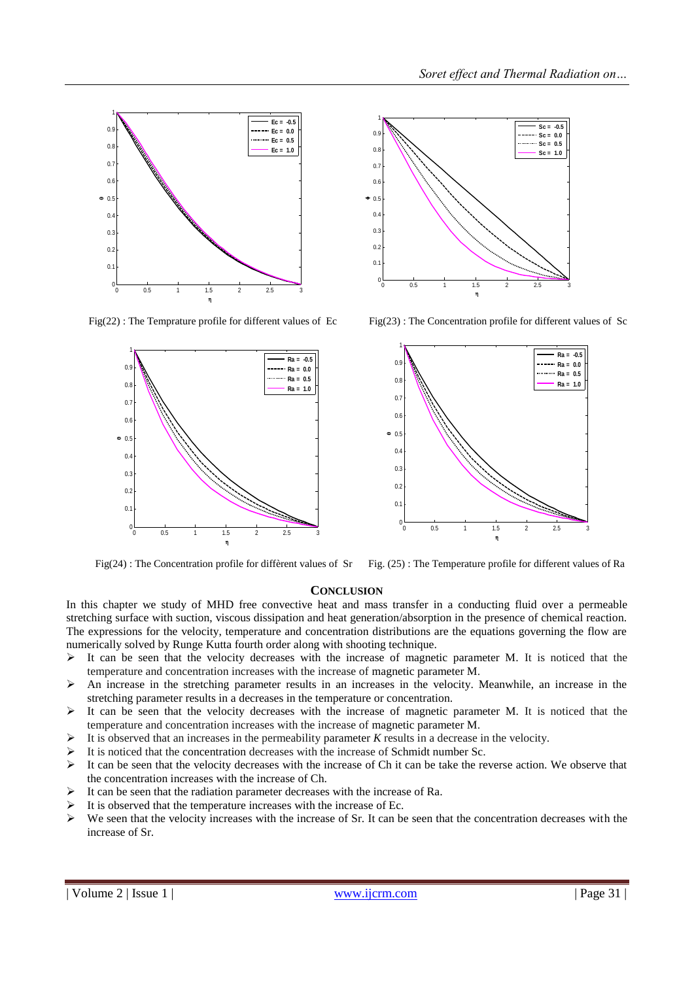



Fig(22) : The Temprature profile for different values of Ec Fig(23) : The Concentration profile for different values of Sc



Fig. (25) : The Concentration profile for diffèrent values of Sr Fig. (25) : The Temperature profile for different values of Ra

## **CONCLUSION**

In this chapter we study of MHD free convective heat and mass transfer in a conducting fluid over a permeable stretching surface with suction, viscous dissipation and heat generation/absorption in the presence of chemical reaction. The expressions for the velocity, temperature and concentration distributions are the equations governing the flow are numerically solved by Runge Kutta fourth order along with shooting technique.

- $\triangleright$  It can be seen that the velocity decreases with the increase of magnetic parameter M. It is noticed that the temperature and concentration increases with the increase of magnetic parameter M.
- $\triangleright$  An increase in the stretching parameter results in an increases in the velocity. Meanwhile, an increase in the stretching parameter results in a decreases in the temperature or concentration.
- $\triangleright$  It can be seen that the velocity decreases with the increase of magnetic parameter M. It is noticed that the temperature and concentration increases with the increase of magnetic parameter M.
- It is observed that an increases in the permeability parameter *K* results in a decrease in the velocity.
- It is noticed that the concentration decreases with the increase of Schmidt number Sc.
- $\triangleright$  It can be seen that the velocity decreases with the increase of Ch it can be take the reverse action. We observe that the concentration increases with the increase of Ch.
- $\triangleright$  It can be seen that the radiation parameter decreases with the increase of Ra.
- $\triangleright$  It is observed that the temperature increases with the increase of Ec.
- $\triangleright$  We seen that the velocity increases with the increase of Sr. It can be seen that the concentration decreases with the increase of Sr.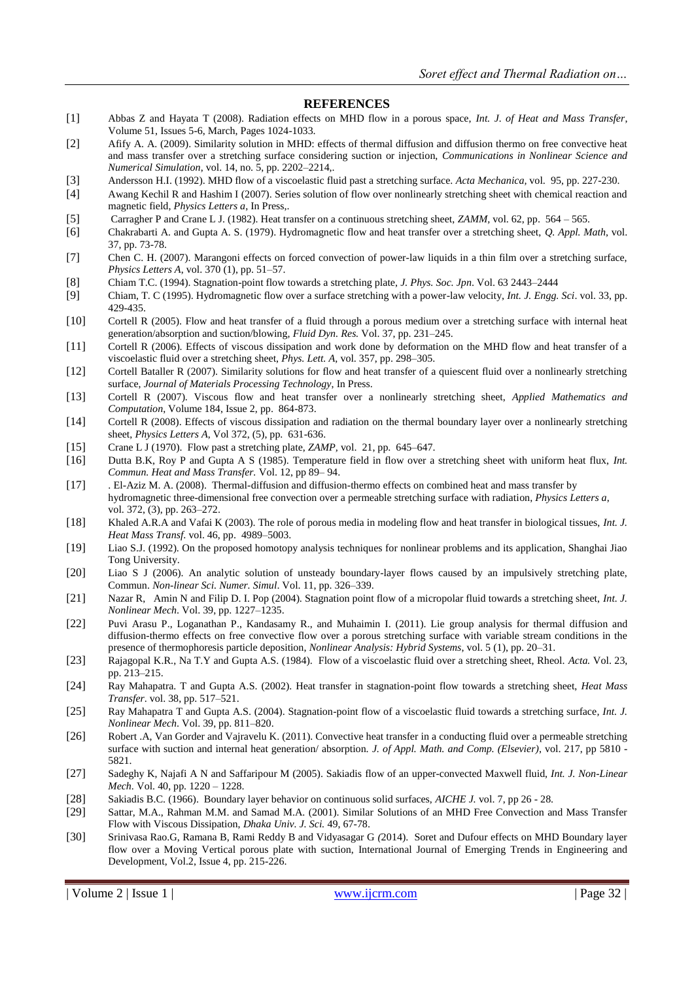#### **REFERENCES**

- [1] Abbas Z and Hayata T (2008). Radiation effects on MHD flow in a porous space, *Int. J. of Heat and Mass Transfer*, Volume 51, Issues 5-6, March, Pages 1024-1033.
- [2] Afify A. A. (2009). Similarity solution in MHD: effects of thermal diffusion and diffusion thermo on free convective heat and mass transfer over a stretching surface considering suction or injection, *Communications in Nonlinear Science and Numerical Simulation*, vol. 14, no. 5, pp. 2202–2214,.
- [3] Andersson H.I. (1992). MHD flow of a viscoelastic fluid past a stretching surface. *Acta Mechanica,* vol.95, pp. 227-230.
- [4] Awang Kechil R and Hashim I (2007). Series solution of flow over nonlinearly stretching sheet with chemical reaction and magnetic field, *Physics Letters a*, In Press,.
- [5] Carragher P and Crane L J. (1982). Heat transfer on a continuous stretching sheet, *ZAMM,* vol. 62, pp. 564 565.
- [6] Chakrabarti A. and Gupta A. S. (1979). Hydromagnetic flow and heat transfer over a stretching sheet, *Q. Appl. Math*, vol. 37, pp. 73-78.
- [7] Chen C. H. (2007). Marangoni effects on forced convection of power-law liquids in a thin film over a stretching surface, *Physics Letters A*, vol. 370 (1), pp. 51–57.
- [8] Chiam T.C. (1994). Stagnation-point flow towards a stretching plate, *J. Phys. Soc. Jpn*. Vol. 63 2443–2444
- [9] Chiam, T. C (1995). Hydromagnetic flow over a surface stretching with a power-law velocity, *Int. J. Engg. Sci*. vol. 33, pp. 429-435.
- [10] Cortell R (2005). Flow and heat transfer of a fluid through a porous medium over a stretching surface with internal heat generation/absorption and suction/blowing, *Fluid Dyn. Res.* Vol. 37, pp. 231–245.
- [11] Cortell R (2006). Effects of viscous dissipation and work done by deformation on the MHD flow and heat transfer of a viscoelastic fluid over a stretching sheet, *Phys. Lett. A,* vol. 357, pp. 298–305.
- [12] Cortell Bataller R (2007). Similarity solutions for flow and heat transfer of a quiescent fluid over a nonlinearly stretching surface, *Journal of Materials Processing Technology*, In Press.
- [13] Cortell R (2007). Viscous flow and heat transfer over a nonlinearly stretching sheet, *Applied Mathematics and Computation*, Volume 184, Issue 2, pp. 864-873.
- [14] Cortell R (2008). Effects of viscous dissipation and radiation on the thermal boundary layer over a nonlinearly stretching sheet, *Physics Letters A*, Vol 372, (5), pp. 631-636.
- [15] Crane L J (1970). Flow past a stretching plate, *ZAMP,* vol. 21, pp. 645–647.
- [16] Dutta B.K, Roy P and Gupta A S (1985). Temperature field in flow over a stretching sheet with uniform heat flux, *Int. Commun. Heat and Mass Transfer.* Vol. 12, pp 89– 94.
- [17] . El-Aziz M. A. (2008). Thermal-diffusion and diffusion-thermo effects on combined heat and mass transfer by hydromagnetic three-dimensional free convection over a permeable stretching surface with radiation, *Physics Letters a*, vol. 372, (3), pp. 263–272.
- [18] Khaled A.R.A and Vafai K (2003). The role of porous media in modeling flow and heat transfer in biological tissues, *Int. J. Heat Mass Transf*. vol. 46, pp. 4989–5003.
- [19] Liao S.J. (1992). On the proposed homotopy analysis techniques for nonlinear problems and its application, Shanghai Jiao Tong University.
- [20] Liao S J (2006). An analytic solution of unsteady boundary-layer flows caused by an impulsively stretching plate, Commun. *Non-linear Sci. Numer. Simul*. Vol. 11, pp. 326–339.
- [21] Nazar R, Amin N and Filip D. I. Pop (2004). Stagnation point flow of a micropolar fluid towards a stretching sheet, *Int. J. Nonlinear Mech*. Vol. 39, pp. 1227–1235.
- [22] Puvi Arasu P., Loganathan P., Kandasamy R., and Muhaimin I. (2011). Lie group analysis for thermal diffusion and diffusion-thermo effects on free convective flow over a porous stretching surface with variable stream conditions in the presence of thermophoresis particle deposition, *Nonlinear Analysis: Hybrid Systems*, vol. 5 (1), pp. 20–31.
- [23] Rajagopal K.R., Na T.Y and Gupta A.S. (1984). Flow of a viscoelastic fluid over a stretching sheet, Rheol. *Acta.* Vol. 23, pp. 213–215.
- [24] Ray Mahapatra. T and Gupta A.S. (2002). Heat transfer in stagnation-point flow towards a stretching sheet, *Heat Mass Transfer*. vol. 38, pp. 517–521.
- [25] Ray Mahapatra T and Gupta A.S. (2004). Stagnation-point flow of a viscoelastic fluid towards a stretching surface*, Int. J. Nonlinear Mech*. Vol. 39, pp. 811–820.
- [26] Robert .A, Van Gorder and Vajravelu K. (2011). Convective heat transfer in a conducting fluid over a permeable stretching surface with suction and internal heat generation/ absorption. *J. of Appl. Math. and Comp. (Elsevier)*, vol. 217, pp 5810 - 5821.
- [27] Sadeghy K, Najafi A N and Saffaripour M (2005). Sakiadis flow of an upper-convected Maxwell fluid, *Int. J. Non-Linear Mech*. Vol. 40, pp. 1220 – 1228.
- [28] Sakiadis B.C. (1966). Boundary layer behavior on continuous solid surfaces, *AICHE J.* vol. 7, pp 26 28.
- [29] Sattar, M.A., Rahman M.M. and Samad M.A. (2001). Similar Solutions of an MHD Free Convection and Mass Transfer Flow with Viscous Dissipation, *Dhaka Univ. J. Sci.* 49, 67-78.
- [30] Srinivasa Rao.G, Ramana B, Rami Reddy B and Vidyasagar G *(*2014). Soret and Dufour effects on MHD Boundary layer flow over a Moving Vertical porous plate with suction, International Journal of Emerging Trends in Engineering and Development, Vol.2, Issue 4, pp. 215-226.